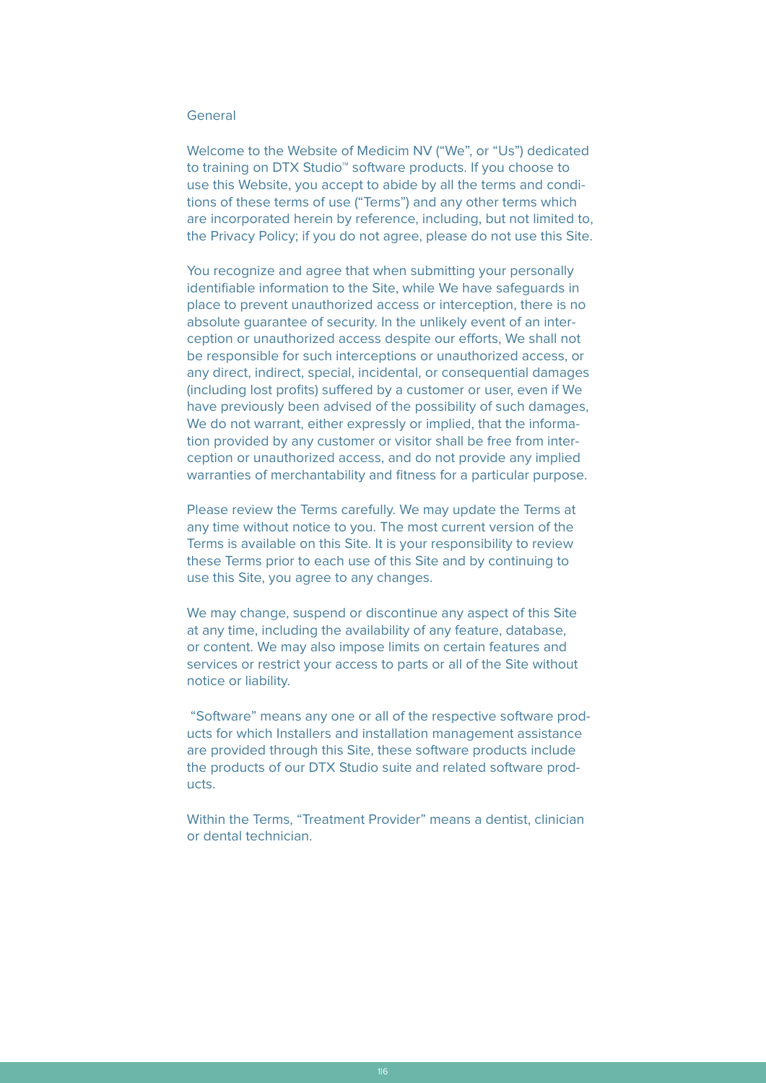# General

Welcome to the Website of Medicim NV ("We", or "Us") dedicated to training on DTX Studio™ software products. If you choose to use this Website, you accept to abide by all the terms and conditions of these terms of use ("Terms") and any other terms which are incorporated herein by reference, including, but not limited to, the Privacy Policy; if you do not agree, please do not use this Site.

You recognize and agree that when submitting your personally identifiable information to the Site, while We have safeguards in place to prevent unauthorized access or interception, there is no absolute guarantee of security. In the unlikely event of an interception or unauthorized access despite our efforts, We shall not be responsible for such interceptions or unauthorized access, or any direct, indirect, special, incidental, or consequential damages (including lost profits) suffered by a customer or user, even if We have previously been advised of the possibility of such damages, We do not warrant, either expressly or implied, that the information provided by any customer or visitor shall be free from interception or unauthorized access, and do not provide any implied warranties of merchantability and fitness for a particular purpose.

Please review the Terms carefully. We may update the Terms at any time without notice to you. The most current version of the Terms is available on this Site. It is your responsibility to review these Terms prior to each use of this Site and by continuing to use this Site, you agree to any changes.

We may change, suspend or discontinue any aspect of this Site at any time, including the availability of any feature, database, or content. We may also impose limits on certain features and services or restrict your access to parts or all of the Site without notice or liability.

 "Software" means any one or all of the respective software products for which Installers and installation management assistance are provided through this Site, these software products include the products of our DTX Studio suite and related software products.

Within the Terms, "Treatment Provider" means a dentist, clinician or dental technician.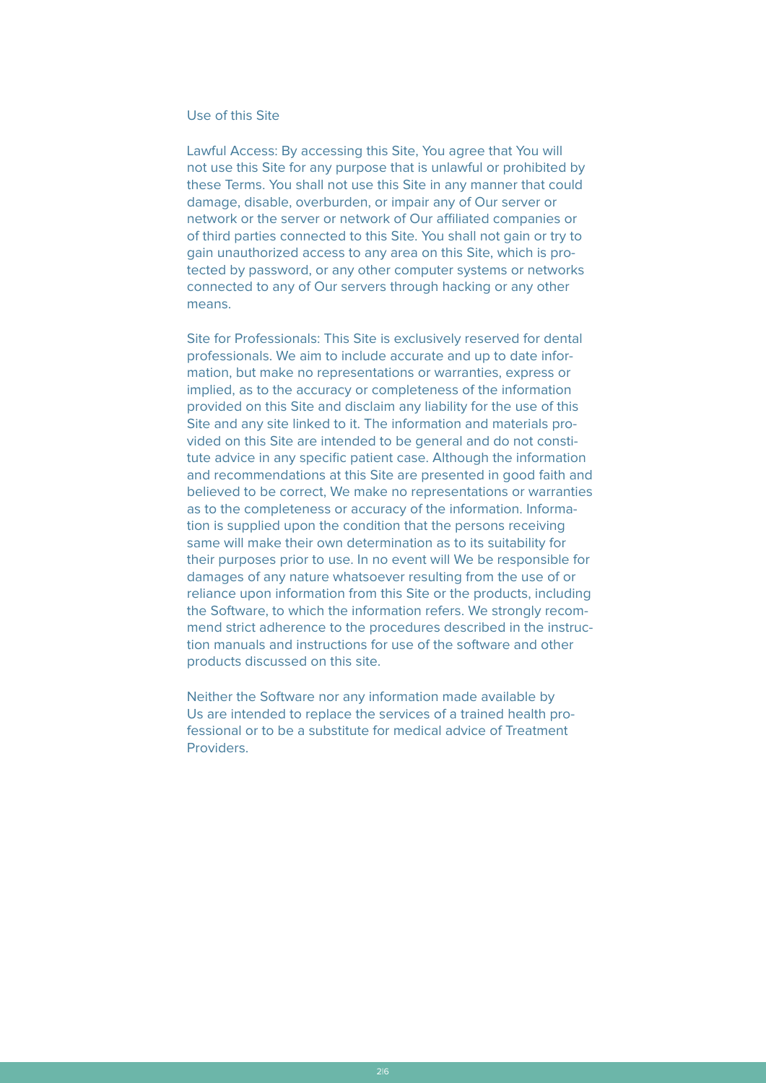# Use of this Site

Lawful Access: By accessing this Site, You agree that You will not use this Site for any purpose that is unlawful or prohibited by these Terms. You shall not use this Site in any manner that could damage, disable, overburden, or impair any of Our server or network or the server or network of Our affiliated companies or of third parties connected to this Site. You shall not gain or try to gain unauthorized access to any area on this Site, which is protected by password, or any other computer systems or networks connected to any of Our servers through hacking or any other means.

Site for Professionals: This Site is exclusively reserved for dental professionals. We aim to include accurate and up to date information, but make no representations or warranties, express or implied, as to the accuracy or completeness of the information provided on this Site and disclaim any liability for the use of this Site and any site linked to it. The information and materials provided on this Site are intended to be general and do not constitute advice in any specific patient case. Although the information and recommendations at this Site are presented in good faith and believed to be correct, We make no representations or warranties as to the completeness or accuracy of the information. Information is supplied upon the condition that the persons receiving same will make their own determination as to its suitability for their purposes prior to use. In no event will We be responsible for damages of any nature whatsoever resulting from the use of or reliance upon information from this Site or the products, including the Software, to which the information refers. We strongly recommend strict adherence to the procedures described in the instruction manuals and instructions for use of the software and other products discussed on this site.

Neither the Software nor any information made available by Us are intended to replace the services of a trained health professional or to be a substitute for medical advice of Treatment Providers.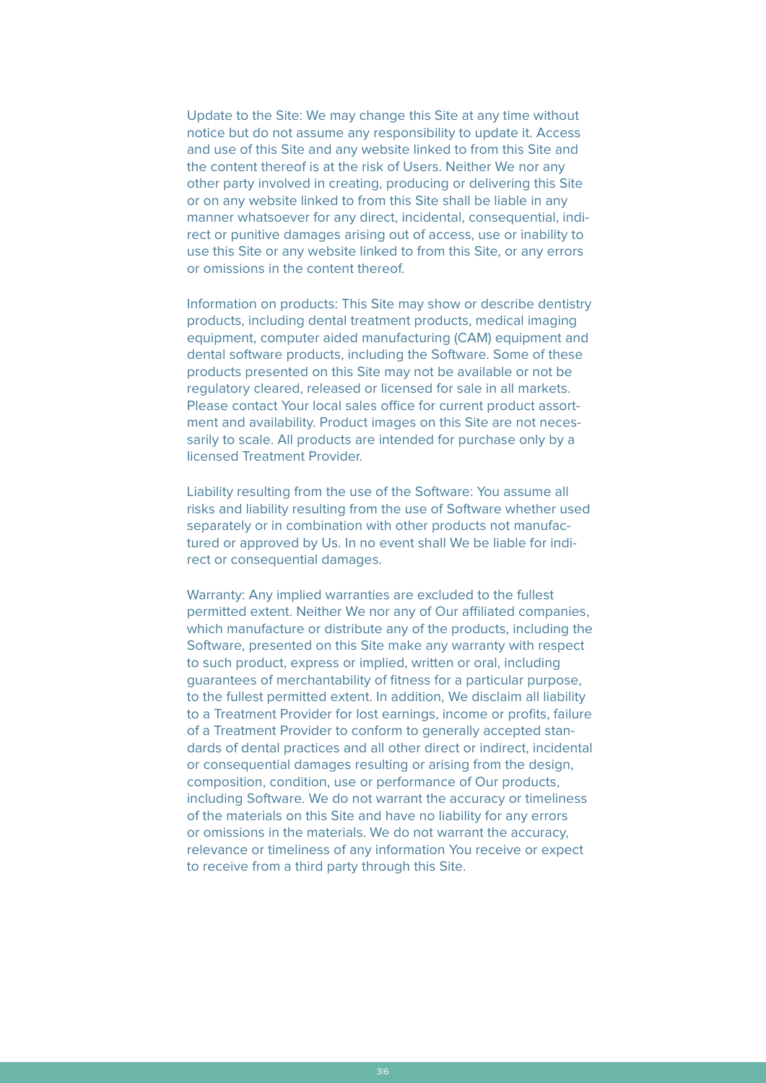Update to the Site: We may change this Site at any time without notice but do not assume any responsibility to update it. Access and use of this Site and any website linked to from this Site and the content thereof is at the risk of Users. Neither We nor any other party involved in creating, producing or delivering this Site or on any website linked to from this Site shall be liable in any manner whatsoever for any direct, incidental, consequential, indirect or punitive damages arising out of access, use or inability to use this Site or any website linked to from this Site, or any errors or omissions in the content thereof.

Information on products: This Site may show or describe dentistry products, including dental treatment products, medical imaging equipment, computer aided manufacturing (CAM) equipment and dental software products, including the Software. Some of these products presented on this Site may not be available or not be regulatory cleared, released or licensed for sale in all markets. Please contact Your local sales office for current product assortment and availability. Product images on this Site are not necessarily to scale. All products are intended for purchase only by a licensed Treatment Provider.

Liability resulting from the use of the Software: You assume all risks and liability resulting from the use of Software whether used separately or in combination with other products not manufactured or approved by Us. In no event shall We be liable for indirect or consequential damages.

Warranty: Any implied warranties are excluded to the fullest permitted extent. Neither We nor any of Our affiliated companies, which manufacture or distribute any of the products, including the Software, presented on this Site make any warranty with respect to such product, express or implied, written or oral, including guarantees of merchantability of fitness for a particular purpose, to the fullest permitted extent. In addition, We disclaim all liability to a Treatment Provider for lost earnings, income or profits, failure of a Treatment Provider to conform to generally accepted standards of dental practices and all other direct or indirect, incidental or consequential damages resulting or arising from the design, composition, condition, use or performance of Our products, including Software. We do not warrant the accuracy or timeliness of the materials on this Site and have no liability for any errors or omissions in the materials. We do not warrant the accuracy, relevance or timeliness of any information You receive or expect to receive from a third party through this Site.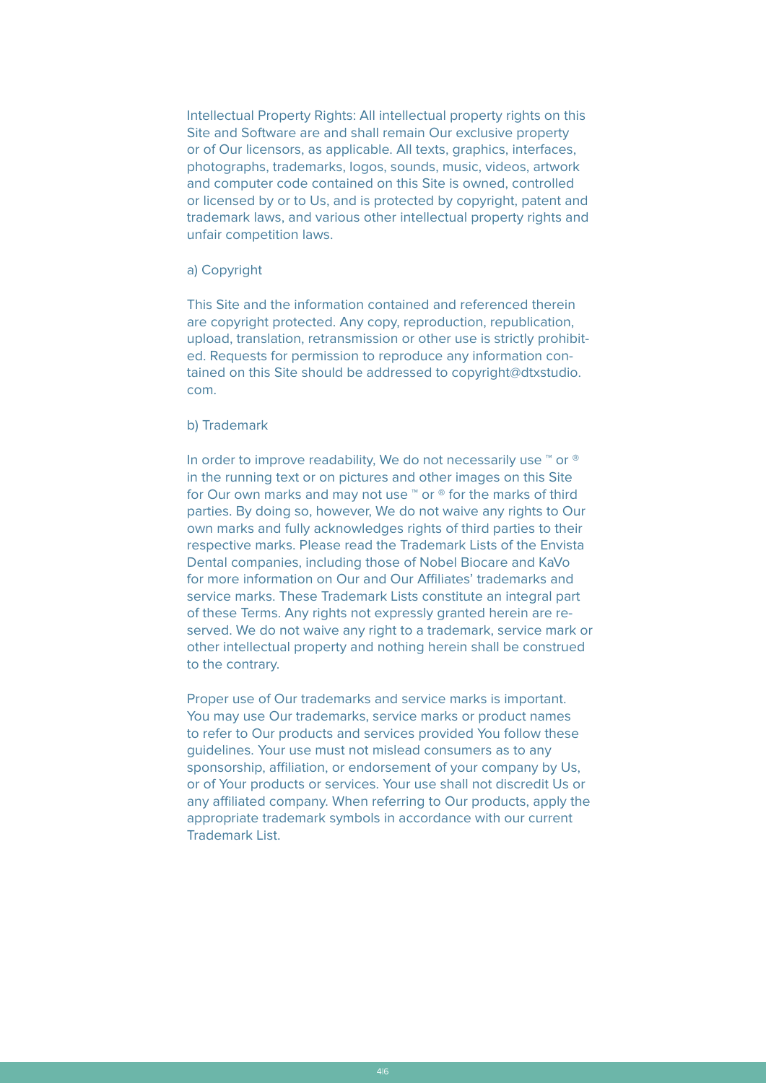Intellectual Property Rights: All intellectual property rights on this Site and Software are and shall remain Our exclusive property or of Our licensors, as applicable. All texts, graphics, interfaces, photographs, trademarks, logos, sounds, music, videos, artwork and computer code contained on this Site is owned, controlled or licensed by or to Us, and is protected by copyright, patent and trademark laws, and various other intellectual property rights and unfair competition laws.

## a) Copyright

This Site and the information contained and referenced therein are copyright protected. Any copy, reproduction, republication, upload, translation, retransmission or other use is strictly prohibited. Requests for permission to reproduce any information contained on this Site should be addressed to copyright@dtxstudio. com.

## b) Trademark

In order to improve readability, We do not necessarily use <sup>™</sup> or <sup>®</sup> in the running text or on pictures and other images on this Site for Our own marks and may not use ™ or ® for the marks of third parties. By doing so, however, We do not waive any rights to Our own marks and fully acknowledges rights of third parties to their respective marks. Please read the Trademark Lists of the Envista Dental companies, including those of Nobel Biocare and KaVo for more information on Our and Our Affiliates' trademarks and service marks. These Trademark Lists constitute an integral part of these Terms. Any rights not expressly granted herein are reserved. We do not waive any right to a trademark, service mark or other intellectual property and nothing herein shall be construed to the contrary.

Proper use of Our trademarks and service marks is important. You may use Our trademarks, service marks or product names to refer to Our products and services provided You follow these guidelines. Your use must not mislead consumers as to any sponsorship, affiliation, or endorsement of your company by Us, or of Your products or services. Your use shall not discredit Us or any affiliated company. When referring to Our products, apply the appropriate trademark symbols in accordance with our current Trademark List.